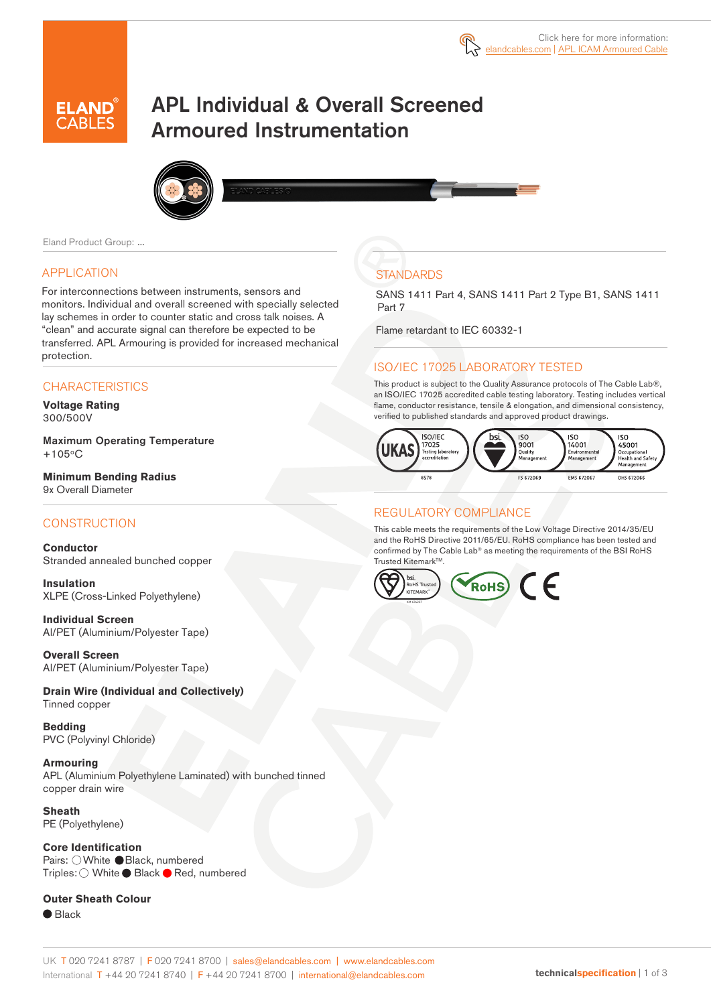

# APL Individual & Overall Screened Armoured Instrumentation



Eland Product Group: ...

#### APPLICATION

For interconnections between instruments, sensors and monitors. Individual and overall screened with specially selected lay schemes in order to counter static and cross talk noises. A "clean" and accurate signal can therefore be expected to be transferred. APL Armouring is provided for increased mechanical protection.

#### **CHARACTERISTICS**

**Voltage Rating**  300/500V

Maximum Operating Temperature  $+105^{\circ}$ C

**Minimum Bending Radius** 9x Overall Diameter

#### **CONSTRUCTION**

**Conductor** Stranded annealed bunched copper

**Insulation** XLPE (Cross-Linked Polyethylene)

**Individual Screen** Al/PET (Aluminium/Polyester Tape)

**Overall Screen** Al/PET (Aluminium/Polyester Tape)

**Drain Wire (Individual and Collectively)** Tinned copper

**Bedding** PVC (Polyvinyl Chloride)

**Armouring** APL (Aluminium Polyethylene Laminated) with bunched tinned copper drain wire

**Sheath** PE (Polyethylene)

**Core Identification** Pairs: OWhite Black, numbered Triples: ○ White ● Black ● Red, numbered

**Outer Sheath Colour** 

● Black

## **STANDARDS**

SANS 1411 Part 4, SANS 1411 Part 2 Type B1, SANS 1411 Part 7

Flame retardant to IEC 60332-1

#### ISO/IEC 17025 LABORATORY TESTED

This product is subject to the Quality Assurance protocols of The Cable Lab®, an ISO/IEC 17025 accredited cable testing laboratory. Testing includes vertical flame, conductor resistance, tensile & elongation, and dimensional consistency, verified to published standards and approved product drawings.



#### REGULATORY COMPLIANCE

This cable meets the requirements of the Low Voltage Directive 2014/35/EU and the RoHS Directive 2011/65/EU. RoHS compliance has been tested and confirmed by The Cable Lab® as meeting the requirements of the BSI RoHS Trusted KitemarkTM.

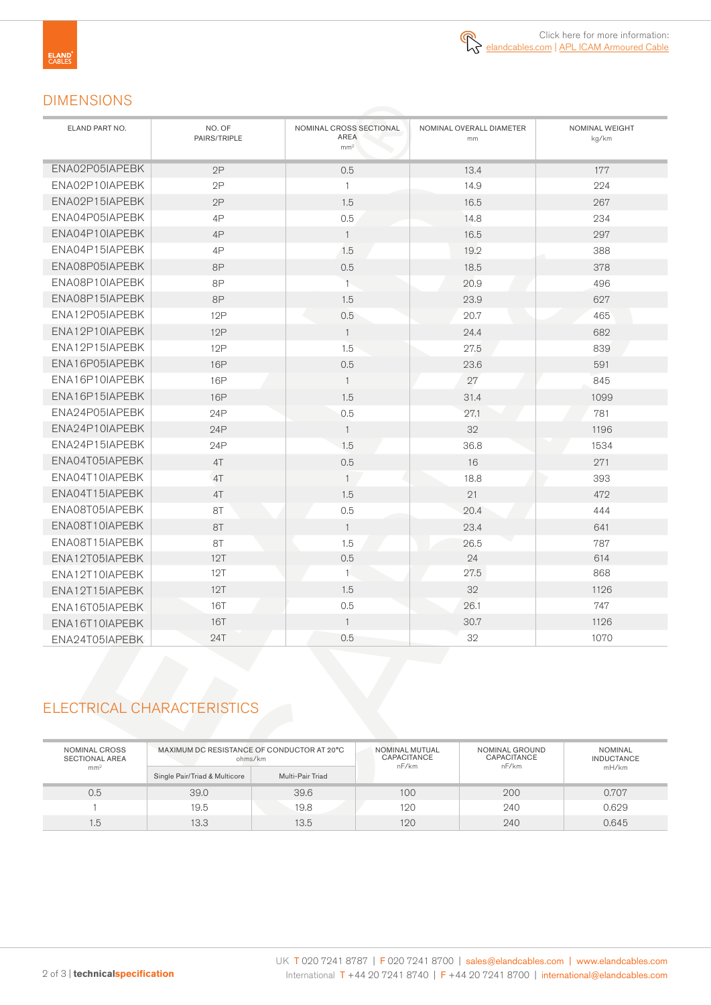

## DIMENSIONS

| ELAND PART NO. | NO. OF<br>PAIRS/TRIPLE | NOMINAL CROSS SECTIONAL<br>AREA<br>mm <sup>2</sup> | NOMINAL OVERALL DIAMETER<br>mm | NOMINAL WEIGHT<br>kg/km |
|----------------|------------------------|----------------------------------------------------|--------------------------------|-------------------------|
| ENA02P05IAPEBK | 2P                     | 0.5                                                | 13.4                           | 177                     |
| ENA02P10IAPEBK | 2P                     | $\mathbf{1}$                                       | 14.9                           | 224                     |
| ENA02P15IAPEBK | 2P                     | 1.5                                                | 16.5                           | 267                     |
| ENA04P05IAPEBK | 4P                     | 0.5                                                | 14.8                           | 234                     |
| ENA04P10IAPEBK | 4P                     | $\mathbf{1}$                                       | 16.5                           | 297                     |
| ENA04P15IAPEBK | 4P                     | 1.5                                                | 19.2                           | 388                     |
| ENA08P05IAPEBK | <b>8P</b>              | 0.5                                                | 18.5                           | 378                     |
| ENA08P10IAPEBK | 8P                     | $1 -$                                              | 20.9                           | 496                     |
| ENA08P15IAPEBK | 8P                     | 1.5                                                | 23.9                           | 627                     |
| ENA12P05IAPEBK | 12P                    | 0.5                                                | 20.7                           | 465                     |
| ENA12P10IAPEBK | 12P                    | $\mathbf{1}$                                       | 24.4                           | 682                     |
| ENA12P15IAPEBK | 12P                    | 1.5                                                | 27.5                           | 839                     |
| ENA16P05IAPEBK | <b>16P</b>             | 0.5                                                | 23.6                           | 591                     |
| ENA16P10IAPEBK | <b>16P</b>             | $\mathbf{1}$                                       | 27                             | 845                     |
| ENA16P15IAPEBK | <b>16P</b>             | 1.5                                                | 31.4                           | 1099                    |
| ENA24P05IAPEBK | 24P                    | 0.5                                                | 27.1                           | 781                     |
| ENA24P10IAPEBK | 24P                    | $\mathbf{1}$                                       | 32                             | 1196                    |
| ENA24P15IAPEBK | 24P                    | 1.5                                                | 36.8                           | 1534                    |
| ENA04T05IAPEBK | 4T                     | 0.5                                                | 16                             | 271                     |
| ENA04T10IAPEBK | 4T                     | $\mathbf{1}$                                       | 18.8                           | 393                     |
| ENA04T15IAPEBK | 4T                     | 1.5                                                | 21                             | 472                     |
| ENA08T05IAPEBK | 8T                     | 0.5                                                | 20.4                           | 444                     |
| ENA08T10IAPEBK | 8T                     | $\overline{1}$                                     | 23.4                           | 641                     |
| ENA08T15IAPEBK | 8T                     | 1.5                                                | 26.5                           | 787                     |
| ENA12T05IAPEBK | 12T                    | 0.5                                                | 24                             | 614                     |
| ENA12T10IAPEBK | 12T                    | 1                                                  | 27.5                           | 868                     |
| ENA12T15IAPEBK | 12T                    | 1.5                                                | 32                             | 1126                    |
| ENA16T05IAPEBK | <b>16T</b>             | 0.5                                                | 26.1                           | 747                     |
| ENA16T10IAPEBK | 16T                    | $\mathbf{1}$                                       | 30.7                           | 1126                    |
| ENA24T05IAPEBK | 24T                    | 0.5                                                | 32                             | 1070                    |

# ELECTRICAL CHARACTERISTICS

| NOMINAL CROSS<br><b>SECTIONAL AREA</b> | MAXIMUM DC RESISTANCE OF CONDUCTOR AT 20°C<br>ohms/km |                  | NOMINAL MUTUAL<br><b>CAPACITANCE</b><br>nF/km | NOMINAL GROUND<br><b>CAPACITANCE</b><br>nF/km | NOMINAL<br><b>INDUCTANCE</b> |
|----------------------------------------|-------------------------------------------------------|------------------|-----------------------------------------------|-----------------------------------------------|------------------------------|
| mm <sup>2</sup>                        | Single Pair/Triad & Multicore                         | Multi-Pair Triad |                                               |                                               | mH/km                        |
| 0.5                                    | 39.0                                                  | 39.6             | 100                                           | 200                                           | 0.707                        |
|                                        | 19.5                                                  | 19.8             | 120                                           | 240                                           | 0.629                        |
| 1.5                                    | 13.3                                                  | 13.5             | 120                                           | 240                                           | 0.645                        |